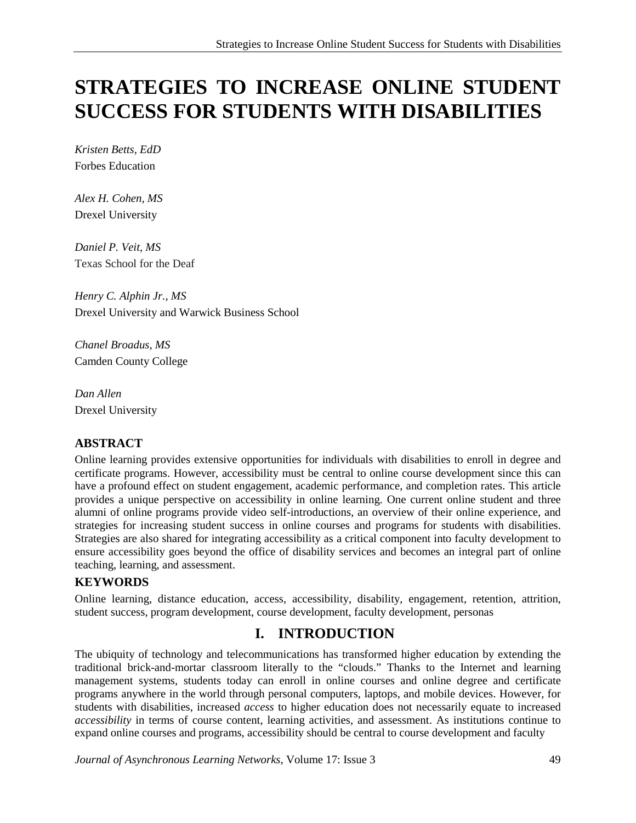# **STRATEGIES TO INCREASE ONLINE STUDENT SUCCESS FOR STUDENTS WITH DISABILITIES**

*Kristen Betts, EdD* Forbes Education

*Alex H. Cohen, MS* Drexel University

*Daniel P. Veit, MS* Texas School for the Deaf

*Henry C. Alphin Jr., MS* Drexel University and Warwick Business School

*Chanel Broadus, MS* Camden County College

*Dan Allen* Drexel University

#### **ABSTRACT**

Online learning provides extensive opportunities for individuals with disabilities to enroll in degree and certificate programs. However, accessibility must be central to online course development since this can have a profound effect on student engagement, academic performance, and completion rates. This article provides a unique perspective on accessibility in online learning. One current online student and three alumni of online programs provide video self-introductions, an overview of their online experience, and strategies for increasing student success in online courses and programs for students with disabilities. Strategies are also shared for integrating accessibility as a critical component into faculty development to ensure accessibility goes beyond the office of disability services and becomes an integral part of online teaching, learning, and assessment.

#### **KEYWORDS**

Online learning, distance education, access, accessibility, disability, engagement, retention, attrition, student success, program development, course development, faculty development, personas

## **I. INTRODUCTION**

The ubiquity of technology and telecommunications has transformed higher education by extending the traditional brick-and-mortar classroom literally to the "clouds." Thanks to the Internet and learning management systems, students today can enroll in online courses and online degree and certificate programs anywhere in the world through personal computers, laptops, and mobile devices. However, for students with disabilities, increased *access* to higher education does not necessarily equate to increased *accessibility* in terms of course content, learning activities, and assessment. As institutions continue to expand online courses and programs, accessibility should be central to course development and faculty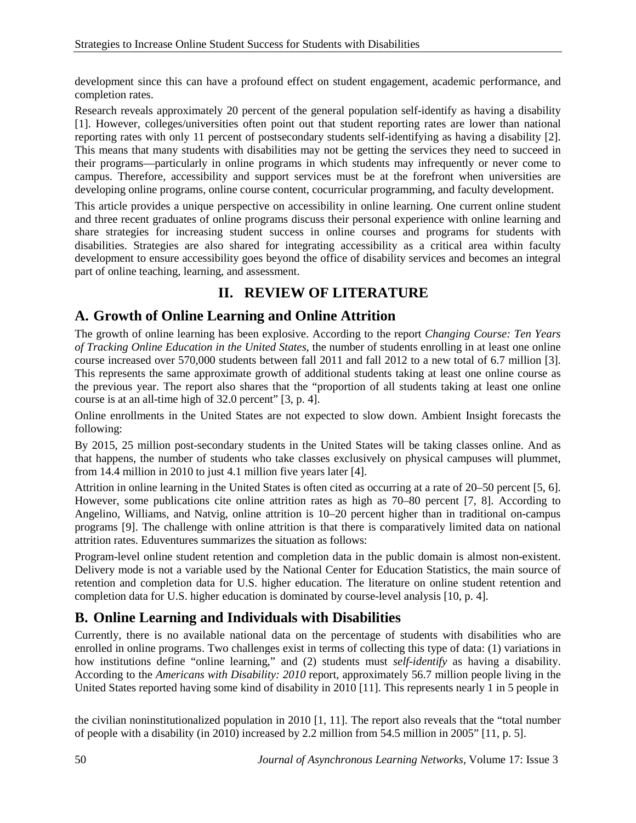development since this can have a profound effect on student engagement, academic performance, and completion rates.

Research reveals approximately 20 percent of the general population self-identify as having a disability [1]. However, colleges/universities often point out that student reporting rates are lower than national reporting rates with only 11 percent of postsecondary students self-identifying as having a disability [2]. This means that many students with disabilities may not be getting the services they need to succeed in their programs—particularly in online programs in which students may infrequently or never come to campus. Therefore, accessibility and support services must be at the forefront when universities are developing online programs, online course content, cocurricular programming, and faculty development.

This article provides a unique perspective on accessibility in online learning. One current online student and three recent graduates of online programs discuss their personal experience with online learning and share strategies for increasing student success in online courses and programs for students with disabilities. Strategies are also shared for integrating accessibility as a critical area within faculty development to ensure accessibility goes beyond the office of disability services and becomes an integral part of online teaching, learning, and assessment.

# **II. REVIEW OF LITERATURE**

## **A. Growth of Online Learning and Online Attrition**

The growth of online learning has been explosive. According to the report *Changing Course: Ten Years of Tracking Online Education in the United States*, the number of students enrolling in at least one online course increased over 570,000 students between fall 2011 and fall 2012 to a new total of 6.7 million [3]. This represents the same approximate growth of additional students taking at least one online course as the previous year. The report also shares that the "proportion of all students taking at least one online course is at an all-time high of 32.0 percent" [3, p. 4].

Online enrollments in the United States are not expected to slow down. Ambient Insight forecasts the following:

By 2015, 25 million post-secondary students in the United States will be taking classes online. And as that happens, the number of students who take classes exclusively on physical campuses will plummet, from 14.4 million in 2010 to just 4.1 million five years later [4].

Attrition in online learning in the United States is often cited as occurring at a rate of 20–50 percent [5, 6]. However, some publications cite online attrition rates as high as 70–80 percent [7, 8]. According to Angelino, Williams, and Natvig, online attrition is 10–20 percent higher than in traditional on-campus programs [9]. The challenge with online attrition is that there is comparatively limited data on national attrition rates. Eduventures summarizes the situation as follows:

Program-level online student retention and completion data in the public domain is almost non-existent. Delivery mode is not a variable used by the National Center for Education Statistics, the main source of retention and completion data for U.S. higher education. The literature on online student retention and completion data for U.S. higher education is dominated by course-level analysis [10, p. 4].

# **B. Online Learning and Individuals with Disabilities**

Currently, there is no available national data on the percentage of students with disabilities who are enrolled in online programs. Two challenges exist in terms of collecting this type of data: (1) variations in how institutions define "online learning," and (2) students must *self-identify* as having a disability. According to the *Americans with Disability: 2010* report, approximately 56.7 million people living in the United States reported having some kind of disability in 2010 [11]. This represents nearly 1 in 5 people in

the civilian noninstitutionalized population in 2010 [1, 11]. The report also reveals that the "total number of people with a disability (in 2010) increased by 2.2 million from 54.5 million in 2005" [11, p. 5].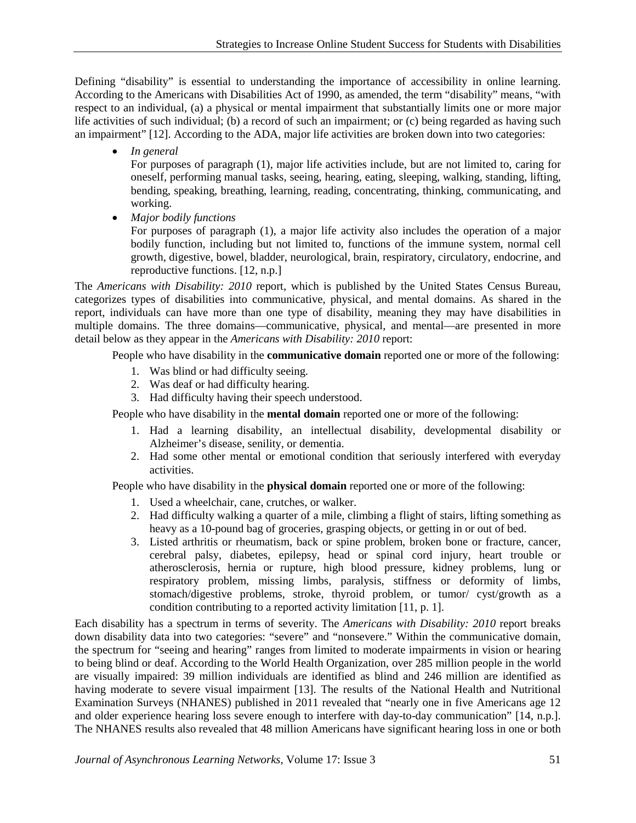Defining "disability" is essential to understanding the importance of accessibility in online learning. According to the Americans with Disabilities Act of 1990, as amended, the term "disability" means, "with respect to an individual, (a) a physical or mental impairment that substantially limits one or more major life activities of such individual; (b) a record of such an impairment; or (c) being regarded as having such an impairment" [12]. According to the ADA, major life activities are broken down into two categories:

• *In general*

For purposes of paragraph (1), major life activities include, but are not limited to, caring for oneself, performing manual tasks, seeing, hearing, eating, sleeping, walking, standing, lifting, bending, speaking, breathing, learning, reading, concentrating, thinking, communicating, and working.

• *Major bodily functions*

For purposes of paragraph (1), a major life activity also includes the operation of a major bodily function, including but not limited to, functions of the immune system, normal cell growth, digestive, bowel, bladder, neurological, brain, respiratory, circulatory, endocrine, and reproductive functions. [12, n.p.]

The *Americans with Disability: 2010* report, which is published by the United States Census Bureau, categorizes types of disabilities into communicative, physical, and mental domains. As shared in the report, individuals can have more than one type of disability, meaning they may have disabilities in multiple domains. The three domains—communicative, physical, and mental—are presented in more detail below as they appear in the *Americans with Disability: 2010* report:

People who have disability in the **communicative domain** reported one or more of the following:

- 1. Was blind or had difficulty seeing.
- 2. Was deaf or had difficulty hearing.
- 3. Had difficulty having their speech understood.

People who have disability in the **mental domain** reported one or more of the following:

- 1. Had a learning disability, an intellectual disability, developmental disability or Alzheimer's disease, senility, or dementia.
- 2. Had some other mental or emotional condition that seriously interfered with everyday activities.

People who have disability in the **physical domain** reported one or more of the following:

- 1. Used a wheelchair, cane, crutches, or walker.
- 2. Had difficulty walking a quarter of a mile, climbing a flight of stairs, lifting something as heavy as a 10-pound bag of groceries, grasping objects, or getting in or out of bed.
- 3. Listed arthritis or rheumatism, back or spine problem, broken bone or fracture, cancer, cerebral palsy, diabetes, epilepsy, head or spinal cord injury, heart trouble or atherosclerosis, hernia or rupture, high blood pressure, kidney problems, lung or respiratory problem, missing limbs, paralysis, stiffness or deformity of limbs, stomach/digestive problems, stroke, thyroid problem, or tumor/ cyst/growth as a condition contributing to a reported activity limitation [11, p. 1].

Each disability has a spectrum in terms of severity. The *Americans with Disability: 2010* report breaks down disability data into two categories: "severe" and "nonsevere." Within the communicative domain, the spectrum for "seeing and hearing" ranges from limited to moderate impairments in vision or hearing to being blind or deaf. According to the World Health Organization, over 285 million people in the world are visually impaired: 39 million individuals are identified as blind and 246 million are identified as having moderate to severe visual impairment [13]. The results of the National Health and Nutritional Examination Surveys (NHANES) published in 2011 revealed that "nearly one in five Americans age 12 and older experience hearing loss severe enough to interfere with day-to-day communication" [14, n.p.]. The NHANES results also revealed that 48 million Americans have significant hearing loss in one or both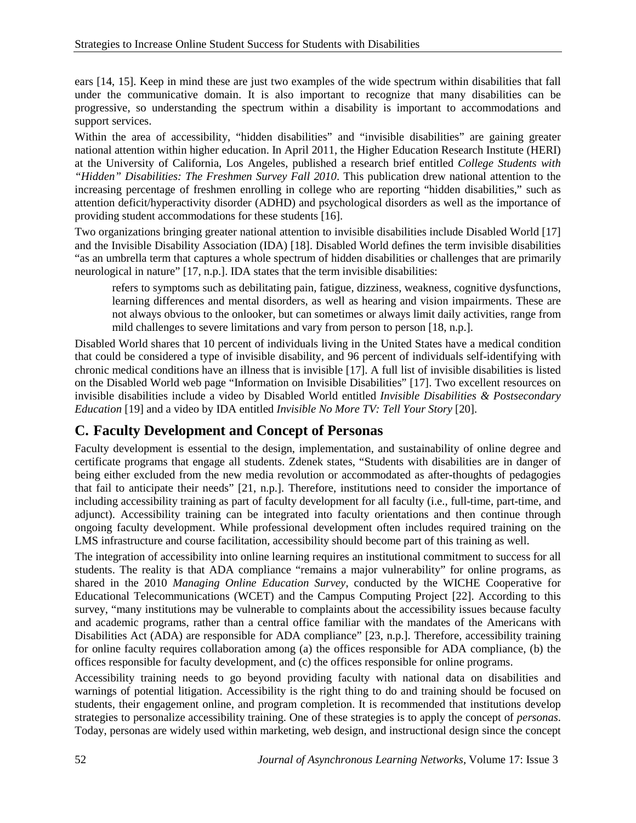ears [14, 15]. Keep in mind these are just two examples of the wide spectrum within disabilities that fall under the communicative domain. It is also important to recognize that many disabilities can be progressive, so understanding the spectrum within a disability is important to accommodations and support services.

Within the area of accessibility, "hidden disabilities" and "invisible disabilities" are gaining greater national attention within higher education. In April 2011, the Higher Education Research Institute (HERI) at the University of California, Los Angeles, published a research brief entitled *College Students with "Hidden" Disabilities: The Freshmen Survey Fall 2010*. This publication drew national attention to the increasing percentage of freshmen enrolling in college who are reporting "hidden disabilities," such as attention deficit/hyperactivity disorder (ADHD) and psychological disorders as well as the importance of providing student accommodations for these students [16].

Two organizations bringing greater national attention to invisible disabilities include Disabled World [17] and the Invisible Disability Association (IDA) [18]. Disabled World defines the term invisible disabilities "as an umbrella term that captures a whole spectrum of hidden disabilities or challenges that are primarily neurological in nature" [17, n.p.]. IDA states that the term invisible disabilities:

refers to symptoms such as debilitating pain, fatigue, dizziness, weakness, cognitive dysfunctions, learning differences and mental disorders, as well as hearing and vision impairments. These are not always obvious to the onlooker, but can sometimes or always limit daily activities, range from mild challenges to severe limitations and vary from person to person [18, n.p.].

Disabled World shares that 10 percent of individuals living in the United States have a medical condition that could be considered a type of invisible disability, and 96 percent of individuals self-identifying with chronic medical conditions have an illness that is invisible [17]. A full list of invisible disabilities is listed on the Disabled World web page "Information on Invisible Disabilities" [17]. Two excellent resources on invisible disabilities include a video by Disabled World entitled *Invisible Disabilities & Postsecondary Education* [19] and a video by IDA entitled *Invisible No More TV: Tell Your Story* [20].

## **C. Faculty Development and Concept of Personas**

Faculty development is essential to the design, implementation, and sustainability of online degree and certificate programs that engage all students. Zdenek states, "Students with disabilities are in danger of being either excluded from the new media revolution or accommodated as after-thoughts of pedagogies that fail to anticipate their needs" [21, n.p.]. Therefore, institutions need to consider the importance of including accessibility training as part of faculty development for all faculty (i.e., full-time, part-time, and adjunct). Accessibility training can be integrated into faculty orientations and then continue through ongoing faculty development. While professional development often includes required training on the LMS infrastructure and course facilitation, accessibility should become part of this training as well.

The integration of accessibility into online learning requires an institutional commitment to success for all students. The reality is that ADA compliance "remains a major vulnerability" for online programs, as shared in the 2010 *Managing Online Education Survey*, conducted by the WICHE Cooperative for Educational Telecommunications (WCET) and the Campus Computing Project [22]. According to this survey, "many institutions may be vulnerable to complaints about the accessibility issues because faculty and academic programs, rather than a central office familiar with the mandates of the Americans with Disabilities Act (ADA) are responsible for ADA compliance" [23, n.p.]. Therefore, accessibility training for online faculty requires collaboration among (a) the offices responsible for ADA compliance, (b) the offices responsible for faculty development, and (c) the offices responsible for online programs.

Accessibility training needs to go beyond providing faculty with national data on disabilities and warnings of potential litigation. Accessibility is the right thing to do and training should be focused on students, their engagement online, and program completion. It is recommended that institutions develop strategies to personalize accessibility training. One of these strategies is to apply the concept of *personas*. Today, personas are widely used within marketing, web design, and instructional design since the concept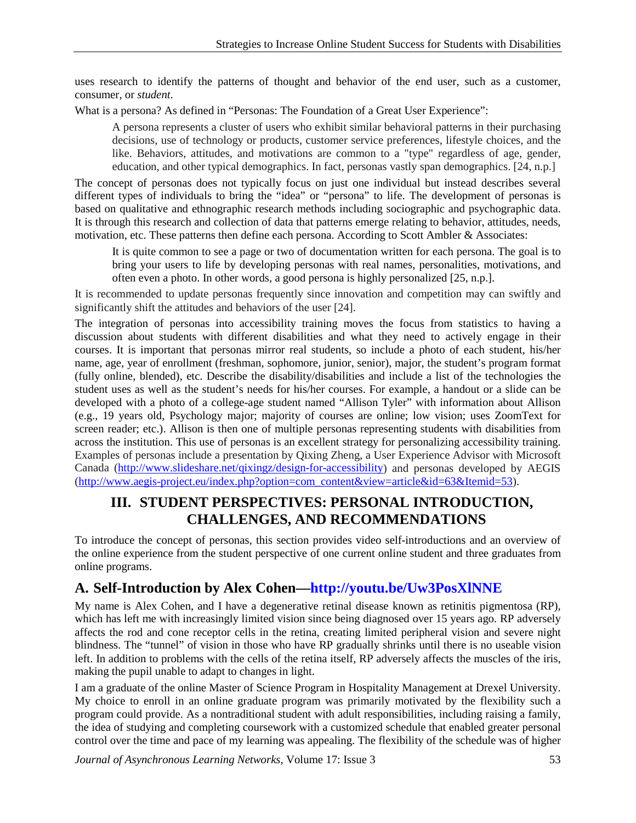uses research to identify the patterns of thought and behavior of the end user, such as a customer, consumer, or *student*.

What is a persona? As defined in "Personas: The Foundation of a Great User Experience":

A persona represents a cluster of users who exhibit similar behavioral patterns in their purchasing decisions, use of technology or products, customer service preferences, lifestyle choices, and the like. Behaviors, attitudes, and motivations are common to a "type" regardless of age, gender, education, and other typical demographics. In fact, personas vastly span demographics. [24, n.p.]

The concept of personas does not typically focus on just one individual but instead describes several different types of individuals to bring the "idea" or "persona" to life. The development of personas is based on qualitative and ethnographic research methods including sociographic and psychographic data. It is through this research and collection of data that patterns emerge relating to behavior, attitudes, needs, motivation, etc. These patterns then define each persona. According to Scott Ambler & Associates:

It is quite common to see a page or two of documentation written for each persona. The goal is to bring your users to life by developing personas with real names, personalities, motivations, and often even a photo. In other words, a good persona is highly personalized [25, n.p.].

It is recommended to update personas frequently since innovation and competition may can swiftly and significantly shift the attitudes and behaviors of the user [24].

The integration of personas into accessibility training moves the focus from statistics to having a discussion about students with different disabilities and what they need to actively engage in their courses. It is important that personas mirror real students, so include a photo of each student, his/her name, age, year of enrollment (freshman, sophomore, junior, senior), major, the student's program format (fully online, blended), etc. Describe the disability/disabilities and include a list of the technologies the student uses as well as the student's needs for his/her courses. For example, a handout or a slide can be developed with a photo of a college-age student named "Allison Tyler" with information about Allison (e.g., 19 years old, Psychology major; majority of courses are online; low vision; uses ZoomText for screen reader; etc.). Allison is then one of multiple personas representing students with disabilities from across the institution. This use of personas is an excellent strategy for personalizing accessibility training. Examples of personas include a presentation by Qixing Zheng, a User Experience Advisor with Microsoft Canada [\(http://www.slideshare.net/qixingz/design-for-accessibility\)](http://www.slideshare.net/qixingz/design-for-accessibility) and personas developed by AEGIS [\(http://www.aegis-project.eu/index.php?option=com\\_content&view=article&id=63&Itemid=53\)](http://www.aegis-project.eu/index.php?option=com_content&view=article&id=63&Itemid=53).

### **III. STUDENT PERSPECTIVES: PERSONAL INTRODUCTION, CHALLENGES, AND RECOMMENDATIONS**

To introduce the concept of personas, this section provides video self-introductions and an overview of the online experience from the student perspective of one current online student and three graduates from online programs.

### **A. Self-Introduction by Alex Cohen[—http://youtu.be/Uw3PosXlNNE](http://youtu.be/Uw3PosXlNNE)**

My name is Alex Cohen, and I have a degenerative retinal disease known as retinitis pigmentosa (RP), which has left me with increasingly limited vision since being diagnosed over 15 years ago. RP adversely affects the rod and cone receptor cells in the retina, creating limited peripheral vision and severe night blindness. The "tunnel" of vision in those who have RP gradually shrinks until there is no useable vision left. In addition to problems with the cells of the retina itself, RP adversely affects the muscles of the iris, making the pupil unable to adapt to changes in light.

I am a graduate of the online Master of Science Program in Hospitality Management at Drexel University. My choice to enroll in an online graduate program was primarily motivated by the flexibility such a program could provide. As a nontraditional student with adult responsibilities, including raising a family, the idea of studying and completing coursework with a customized schedule that enabled greater personal control over the time and pace of my learning was appealing. The flexibility of the schedule was of higher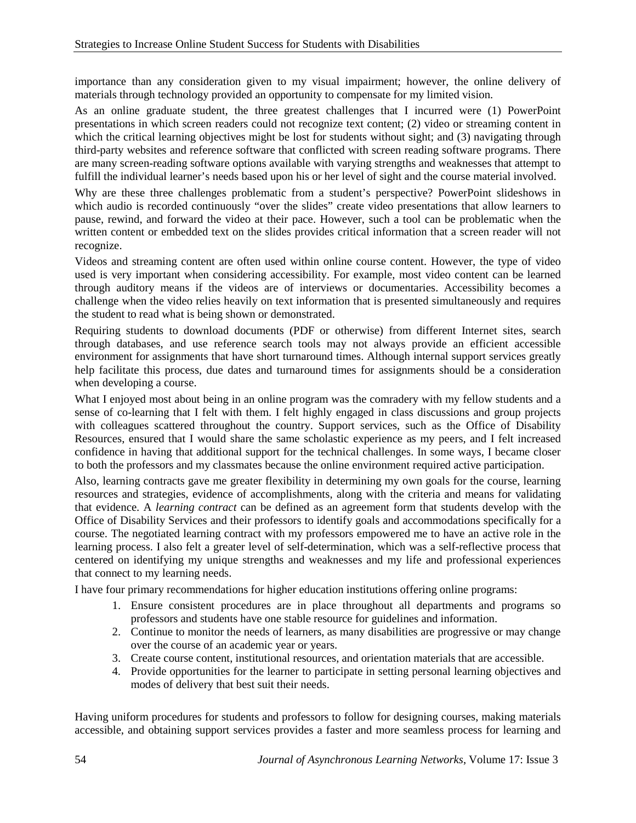importance than any consideration given to my visual impairment; however, the online delivery of materials through technology provided an opportunity to compensate for my limited vision.

As an online graduate student, the three greatest challenges that I incurred were (1) PowerPoint presentations in which screen readers could not recognize text content; (2) video or streaming content in which the critical learning objectives might be lost for students without sight; and (3) navigating through third-party websites and reference software that conflicted with screen reading software programs. There are many screen-reading software options available with varying strengths and weaknesses that attempt to fulfill the individual learner's needs based upon his or her level of sight and the course material involved.

Why are these three challenges problematic from a student's perspective? PowerPoint slideshows in which audio is recorded continuously "over the slides" create video presentations that allow learners to pause, rewind, and forward the video at their pace. However, such a tool can be problematic when the written content or embedded text on the slides provides critical information that a screen reader will not recognize.

Videos and streaming content are often used within online course content. However, the type of video used is very important when considering accessibility. For example, most video content can be learned through auditory means if the videos are of interviews or documentaries. Accessibility becomes a challenge when the video relies heavily on text information that is presented simultaneously and requires the student to read what is being shown or demonstrated.

Requiring students to download documents (PDF or otherwise) from different Internet sites, search through databases, and use reference search tools may not always provide an efficient accessible environment for assignments that have short turnaround times. Although internal support services greatly help facilitate this process, due dates and turnaround times for assignments should be a consideration when developing a course.

What I enjoyed most about being in an online program was the comradery with my fellow students and a sense of co-learning that I felt with them. I felt highly engaged in class discussions and group projects with colleagues scattered throughout the country. Support services, such as the Office of Disability Resources, ensured that I would share the same scholastic experience as my peers, and I felt increased confidence in having that additional support for the technical challenges. In some ways, I became closer to both the professors and my classmates because the online environment required active participation.

Also, learning contracts gave me greater flexibility in determining my own goals for the course, learning resources and strategies, evidence of accomplishments, along with the criteria and means for validating that evidence. A *learning contract* can be defined as an agreement form that students develop with the Office of Disability Services and their professors to identify goals and accommodations specifically for a course. The negotiated learning contract with my professors empowered me to have an active role in the learning process. I also felt a greater level of self-determination, which was a self-reflective process that centered on identifying my unique strengths and weaknesses and my life and professional experiences that connect to my learning needs.

I have four primary recommendations for higher education institutions offering online programs:

- 1. Ensure consistent procedures are in place throughout all departments and programs so professors and students have one stable resource for guidelines and information.
- 2. Continue to monitor the needs of learners, as many disabilities are progressive or may change over the course of an academic year or years.
- 3. Create course content, institutional resources, and orientation materials that are accessible.
- 4. Provide opportunities for the learner to participate in setting personal learning objectives and modes of delivery that best suit their needs.

Having uniform procedures for students and professors to follow for designing courses, making materials accessible, and obtaining support services provides a faster and more seamless process for learning and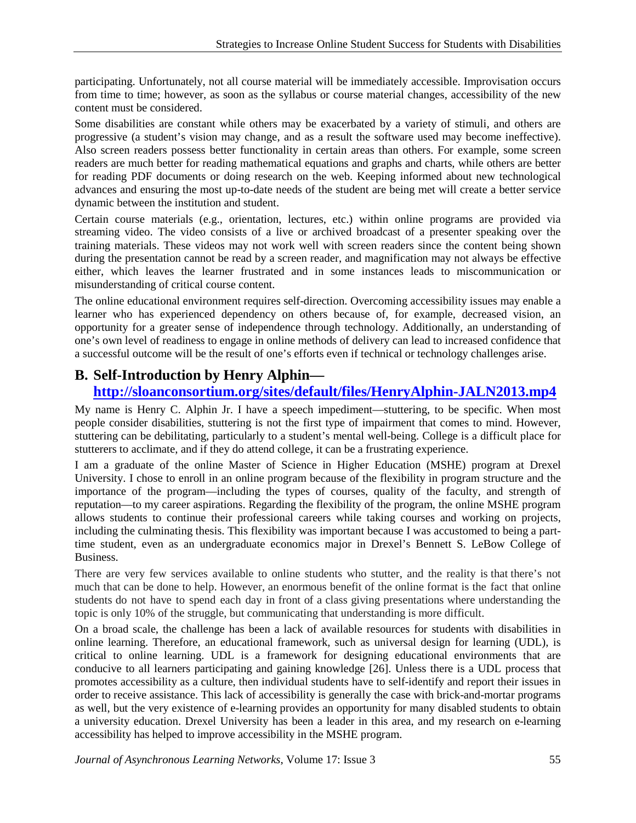participating. Unfortunately, not all course material will be immediately accessible. Improvisation occurs from time to time; however, as soon as the syllabus or course material changes, accessibility of the new content must be considered.

Some disabilities are constant while others may be exacerbated by a variety of stimuli, and others are progressive (a student's vision may change, and as a result the software used may become ineffective). Also screen readers possess better functionality in certain areas than others. For example, some screen readers are much better for reading mathematical equations and graphs and charts, while others are better for reading PDF documents or doing research on the web. Keeping informed about new technological advances and ensuring the most up-to-date needs of the student are being met will create a better service dynamic between the institution and student.

Certain course materials (e.g., orientation, lectures, etc.) within online programs are provided via streaming video. The video consists of a live or archived broadcast of a presenter speaking over the training materials. These videos may not work well with screen readers since the content being shown during the presentation cannot be read by a screen reader, and magnification may not always be effective either, which leaves the learner frustrated and in some instances leads to miscommunication or misunderstanding of critical course content.

The online educational environment requires self-direction. Overcoming accessibility issues may enable a learner who has experienced dependency on others because of, for example, decreased vision, an opportunity for a greater sense of independence through technology. Additionally, an understanding of one's own level of readiness to engage in online methods of delivery can lead to increased confidence that a successful outcome will be the result of one's efforts even if technical or technology challenges arise.

### **B. Self-Introduction by Henry Alphin—**

### **<http://sloanconsortium.org/sites/default/files/HenryAlphin-JALN2013.mp4>**

My name is Henry C. Alphin Jr. I have a speech impediment—stuttering, to be specific. When most people consider disabilities, stuttering is not the first type of impairment that comes to mind. However, stuttering can be debilitating, particularly to a student's mental well-being. College is a difficult place for stutterers to acclimate, and if they do attend college, it can be a frustrating experience.

I am a graduate of the online Master of Science in Higher Education (MSHE) program at Drexel University. I chose to enroll in an online program because of the flexibility in program structure and the importance of the program—including the types of courses, quality of the faculty, and strength of reputation—to my career aspirations. Regarding the flexibility of the program, the online MSHE program allows students to continue their professional careers while taking courses and working on projects, including the culminating thesis. This flexibility was important because I was accustomed to being a parttime student, even as an undergraduate economics major in Drexel's Bennett S. LeBow College of Business.

There are very few services available to online students who stutter, and the reality is that there's not much that can be done to help. However, an enormous benefit of the online format is the fact that online students do not have to spend each day in front of a class giving presentations where understanding the topic is only 10% of the struggle, but communicating that understanding is more difficult.

On a broad scale, the challenge has been a lack of available resources for students with disabilities in online learning. Therefore, an educational framework, such as universal design for learning (UDL), is critical to online learning. UDL is a framework for designing educational environments that are conducive to all learners participating and gaining knowledge [26]. Unless there is a UDL process that promotes accessibility as a culture, then individual students have to self-identify and report their issues in order to receive assistance. This lack of accessibility is generally the case with brick-and-mortar programs as well, but the very existence of e-learning provides an opportunity for many disabled students to obtain a university education. Drexel University has been a leader in this area, and my research on e-learning accessibility has helped to improve accessibility in the MSHE program.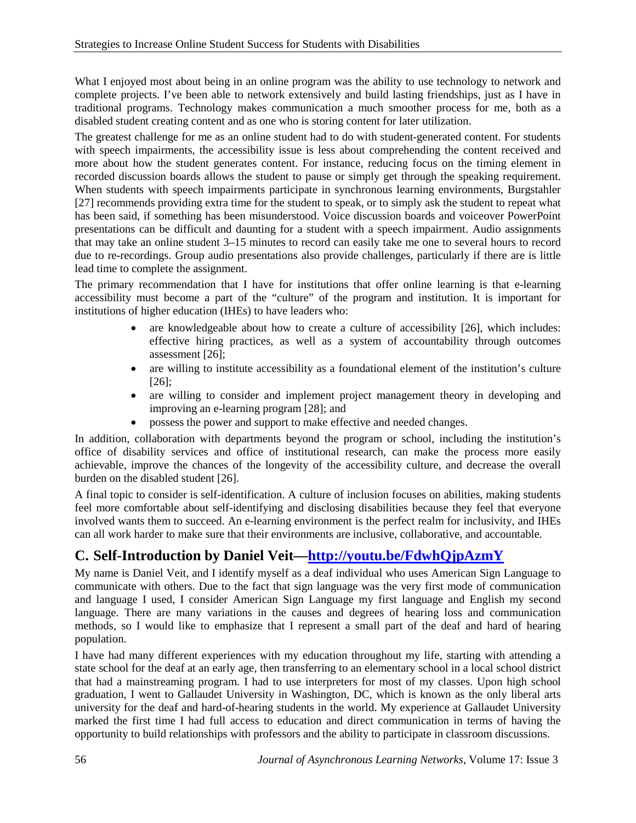What I enjoyed most about being in an online program was the ability to use technology to network and complete projects. I've been able to network extensively and build lasting friendships, just as I have in traditional programs. Technology makes communication a much smoother process for me, both as a disabled student creating content and as one who is storing content for later utilization.

The greatest challenge for me as an online student had to do with student-generated content. For students with speech impairments, the accessibility issue is less about comprehending the content received and more about how the student generates content. For instance, reducing focus on the timing element in recorded discussion boards allows the student to pause or simply get through the speaking requirement. When students with speech impairments participate in synchronous learning environments, Burgstahler [27] recommends providing extra time for the student to speak, or to simply ask the student to repeat what has been said, if something has been misunderstood. Voice discussion boards and voiceover PowerPoint presentations can be difficult and daunting for a student with a speech impairment. Audio assignments that may take an online student 3–15 minutes to record can easily take me one to several hours to record due to re-recordings. Group audio presentations also provide challenges, particularly if there are is little lead time to complete the assignment.

The primary recommendation that I have for institutions that offer online learning is that e-learning accessibility must become a part of the "culture" of the program and institution. It is important for institutions of higher education (IHEs) to have leaders who:

- are knowledgeable about how to create a culture of accessibility [26], which includes: effective hiring practices, as well as a system of accountability through outcomes assessment [26];
- are willing to institute accessibility as a foundational element of the institution's culture [26];
- are willing to consider and implement project management theory in developing and improving an e-learning program [28]; and
- possess the power and support to make effective and needed changes.

In addition, collaboration with departments beyond the program or school, including the institution's office of disability services and office of institutional research, can make the process more easily achievable, improve the chances of the longevity of the accessibility culture, and decrease the overall burden on the disabled student [26].

A final topic to consider is self-identification. A culture of inclusion focuses on abilities, making students feel more comfortable about self-identifying and disclosing disabilities because they feel that everyone involved wants them to succeed. An e-learning environment is the perfect realm for inclusivity, and IHEs can all work harder to make sure that their environments are inclusive, collaborative, and accountable.

# **C. Self-Introduction by Daniel Veit[—http://youtu.be/FdwhQjpAzmY](http://youtu.be/FdwhQjpAzmY)**

My name is Daniel Veit, and I identify myself as a deaf individual who uses American Sign Language to communicate with others. Due to the fact that sign language was the very first mode of communication and language I used, I consider American Sign Language my first language and English my second language. There are many variations in the causes and degrees of hearing loss and communication methods, so I would like to emphasize that I represent a small part of the deaf and hard of hearing population.

I have had many different experiences with my education throughout my life, starting with attending a state school for the deaf at an early age, then transferring to an elementary school in a local school district that had a mainstreaming program. I had to use interpreters for most of my classes. Upon high school graduation, I went to Gallaudet University in Washington, DC, which is known as the only liberal arts university for the deaf and hard-of-hearing students in the world. My experience at Gallaudet University marked the first time I had full access to education and direct communication in terms of having the opportunity to build relationships with professors and the ability to participate in classroom discussions.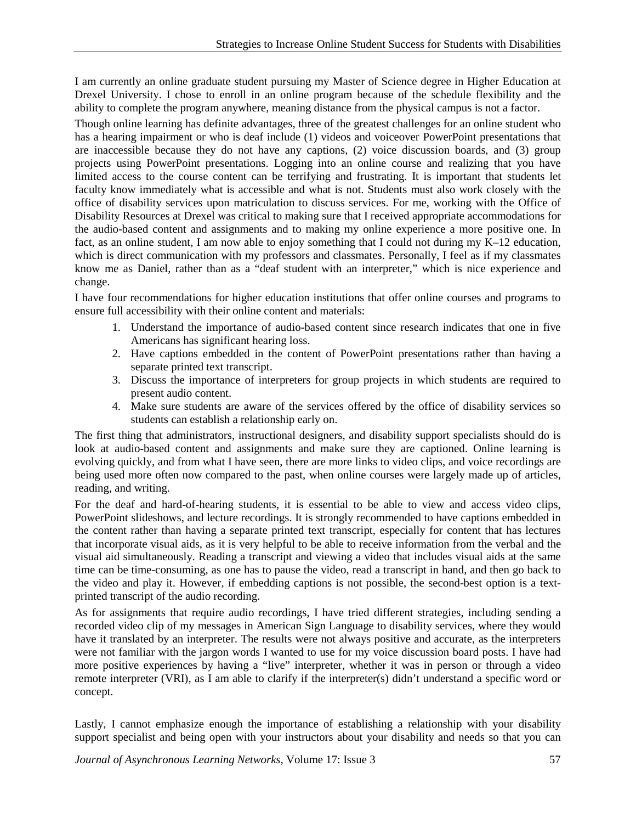I am currently an online graduate student pursuing my Master of Science degree in Higher Education at Drexel University. I chose to enroll in an online program because of the schedule flexibility and the ability to complete the program anywhere, meaning distance from the physical campus is not a factor.

Though online learning has definite advantages, three of the greatest challenges for an online student who has a hearing impairment or who is deaf include (1) videos and voiceover PowerPoint presentations that are inaccessible because they do not have any captions, (2) voice discussion boards, and (3) group projects using PowerPoint presentations. Logging into an online course and realizing that you have limited access to the course content can be terrifying and frustrating. It is important that students let faculty know immediately what is accessible and what is not. Students must also work closely with the office of disability services upon matriculation to discuss services. For me, working with the Office of Disability Resources at Drexel was critical to making sure that I received appropriate accommodations for the audio-based content and assignments and to making my online experience a more positive one. In fact, as an online student, I am now able to enjoy something that I could not during my K–12 education, which is direct communication with my professors and classmates. Personally, I feel as if my classmates know me as Daniel, rather than as a "deaf student with an interpreter," which is nice experience and change.

I have four recommendations for higher education institutions that offer online courses and programs to ensure full accessibility with their online content and materials:

- 1. Understand the importance of audio-based content since research indicates that one in five Americans has significant hearing loss.
- 2. Have captions embedded in the content of PowerPoint presentations rather than having a separate printed text transcript.
- 3. Discuss the importance of interpreters for group projects in which students are required to present audio content.
- 4. Make sure students are aware of the services offered by the office of disability services so students can establish a relationship early on.

The first thing that administrators, instructional designers, and disability support specialists should do is look at audio-based content and assignments and make sure they are captioned. Online learning is evolving quickly, and from what I have seen, there are more links to video clips, and voice recordings are being used more often now compared to the past, when online courses were largely made up of articles, reading, and writing.

For the deaf and hard-of-hearing students, it is essential to be able to view and access video clips, PowerPoint slideshows, and lecture recordings. It is strongly recommended to have captions embedded in the content rather than having a separate printed text transcript, especially for content that has lectures that incorporate visual aids, as it is very helpful to be able to receive information from the verbal and the visual aid simultaneously. Reading a transcript and viewing a video that includes visual aids at the same time can be time-consuming, as one has to pause the video, read a transcript in hand, and then go back to the video and play it. However, if embedding captions is not possible, the second-best option is a textprinted transcript of the audio recording.

As for assignments that require audio recordings, I have tried different strategies, including sending a recorded video clip of my messages in American Sign Language to disability services, where they would have it translated by an interpreter. The results were not always positive and accurate, as the interpreters were not familiar with the jargon words I wanted to use for my voice discussion board posts. I have had more positive experiences by having a "live" interpreter, whether it was in person or through a video remote interpreter (VRI), as I am able to clarify if the interpreter(s) didn't understand a specific word or concept.

Lastly, I cannot emphasize enough the importance of establishing a relationship with your disability support specialist and being open with your instructors about your disability and needs so that you can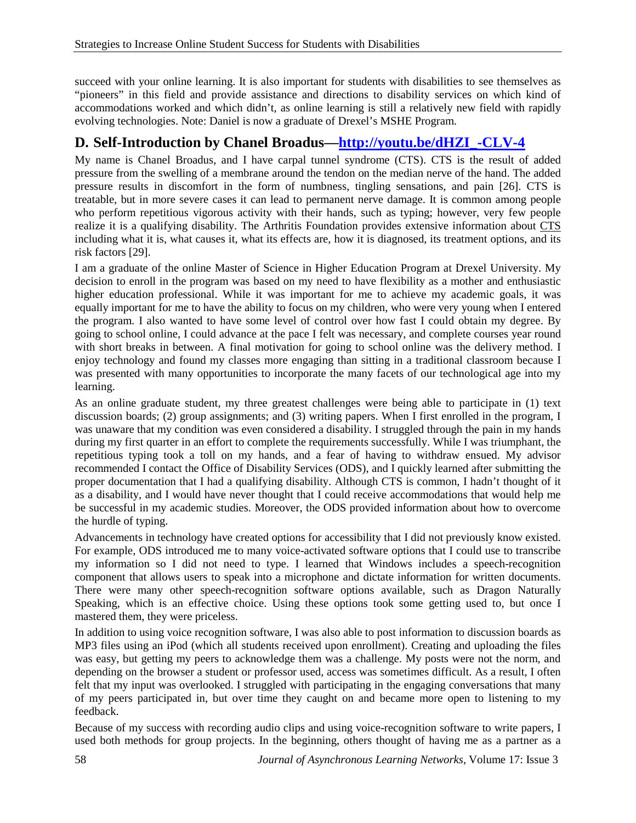succeed with your online learning. It is also important for students with disabilities to see themselves as "pioneers" in this field and provide assistance and directions to disability services on which kind of accommodations worked and which didn't, as online learning is still a relatively new field with rapidly evolving technologies. Note: Daniel is now a graduate of Drexel's MSHE Program.

## **D. Self-Introduction by Chanel Broadus[—http://youtu.be/dHZI\\_-CLV-4](http://youtu.be/dHZI_-CLV-4)**

My name is Chanel Broadus, and I have carpal tunnel syndrome (CTS). CTS is the result of added pressure from the swelling of a membrane around the tendon on the median nerve of the hand. The added pressure results in discomfort in the form of numbness, tingling sensations, and pain [26]. CTS is treatable, but in more severe cases it can lead to permanent nerve damage. It is common among people who perform repetitious vigorous activity with their hands, such as typing; however, very few people realize it is a qualifying disability. The Arthritis Foundation provides extensive information about [CTS](http://www.arthritis.org/disease-center.php?disease_id=8) including what it is, what causes it, what its effects are, how it is diagnosed, its treatment options, and its risk factors [29].

I am a graduate of the online Master of Science in Higher Education Program at Drexel University. My decision to enroll in the program was based on my need to have flexibility as a mother and enthusiastic higher education professional. While it was important for me to achieve my academic goals, it was equally important for me to have the ability to focus on my children, who were very young when I entered the program. I also wanted to have some level of control over how fast I could obtain my degree. By going to school online, I could advance at the pace I felt was necessary, and complete courses year round with short breaks in between. A final motivation for going to school online was the delivery method. I enjoy technology and found my classes more engaging than sitting in a traditional classroom because I was presented with many opportunities to incorporate the many facets of our technological age into my learning.

As an online graduate student, my three greatest challenges were being able to participate in (1) text discussion boards; (2) group assignments; and (3) writing papers. When I first enrolled in the program, I was unaware that my condition was even considered a disability. I struggled through the pain in my hands during my first quarter in an effort to complete the requirements successfully. While I was triumphant, the repetitious typing took a toll on my hands, and a fear of having to withdraw ensued. My advisor recommended I contact the Office of Disability Services (ODS), and I quickly learned after submitting the proper documentation that I had a qualifying disability. Although CTS is common, I hadn't thought of it as a disability, and I would have never thought that I could receive accommodations that would help me be successful in my academic studies. Moreover, the ODS provided information about how to overcome the hurdle of typing.

Advancements in technology have created options for accessibility that I did not previously know existed. For example, ODS introduced me to many voice-activated software options that I could use to transcribe my information so I did not need to type. I learned that Windows includes a speech-recognition component that allows users to speak into a microphone and dictate information for written documents. There were many other speech-recognition software options available, such as Dragon Naturally Speaking, which is an effective choice. Using these options took some getting used to, but once I mastered them, they were priceless.

In addition to using voice recognition software, I was also able to post information to discussion boards as MP3 files using an iPod (which all students received upon enrollment). Creating and uploading the files was easy, but getting my peers to acknowledge them was a challenge. My posts were not the norm, and depending on the browser a student or professor used, access was sometimes difficult. As a result, I often felt that my input was overlooked. I struggled with participating in the engaging conversations that many of my peers participated in, but over time they caught on and became more open to listening to my feedback.

Because of my success with recording audio clips and using voice-recognition software to write papers, I used both methods for group projects. In the beginning, others thought of having me as a partner as a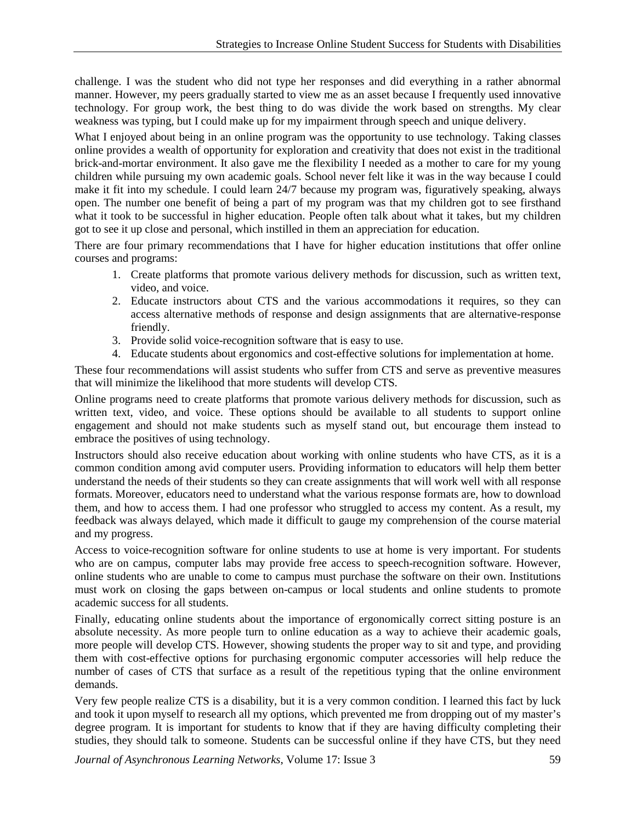challenge. I was the student who did not type her responses and did everything in a rather abnormal manner. However, my peers gradually started to view me as an asset because I frequently used innovative technology. For group work, the best thing to do was divide the work based on strengths. My clear weakness was typing, but I could make up for my impairment through speech and unique delivery.

What I enjoyed about being in an online program was the opportunity to use technology. Taking classes online provides a wealth of opportunity for exploration and creativity that does not exist in the traditional brick-and-mortar environment. It also gave me the flexibility I needed as a mother to care for my young children while pursuing my own academic goals. School never felt like it was in the way because I could make it fit into my schedule. I could learn 24/7 because my program was, figuratively speaking, always open. The number one benefit of being a part of my program was that my children got to see firsthand what it took to be successful in higher education. People often talk about what it takes, but my children got to see it up close and personal, which instilled in them an appreciation for education.

There are four primary recommendations that I have for higher education institutions that offer online courses and programs:

- 1. Create platforms that promote various delivery methods for discussion, such as written text, video, and voice.
- 2. Educate instructors about CTS and the various accommodations it requires, so they can access alternative methods of response and design assignments that are alternative-response friendly.
- 3. Provide solid voice-recognition software that is easy to use.
- 4. Educate students about ergonomics and cost-effective solutions for implementation at home.

These four recommendations will assist students who suffer from CTS and serve as preventive measures that will minimize the likelihood that more students will develop CTS.

Online programs need to create platforms that promote various delivery methods for discussion, such as written text, video, and voice. These options should be available to all students to support online engagement and should not make students such as myself stand out, but encourage them instead to embrace the positives of using technology.

Instructors should also receive education about working with online students who have CTS, as it is a common condition among avid computer users. Providing information to educators will help them better understand the needs of their students so they can create assignments that will work well with all response formats. Moreover, educators need to understand what the various response formats are, how to download them, and how to access them. I had one professor who struggled to access my content. As a result, my feedback was always delayed, which made it difficult to gauge my comprehension of the course material and my progress.

Access to voice-recognition software for online students to use at home is very important. For students who are on campus, computer labs may provide free access to speech-recognition software. However, online students who are unable to come to campus must purchase the software on their own. Institutions must work on closing the gaps between on-campus or local students and online students to promote academic success for all students.

Finally, educating online students about the importance of ergonomically correct sitting posture is an absolute necessity. As more people turn to online education as a way to achieve their academic goals, more people will develop CTS. However, showing students the proper way to sit and type, and providing them with cost-effective options for purchasing ergonomic computer accessories will help reduce the number of cases of CTS that surface as a result of the repetitious typing that the online environment demands.

Very few people realize CTS is a disability, but it is a very common condition. I learned this fact by luck and took it upon myself to research all my options, which prevented me from dropping out of my master's degree program. It is important for students to know that if they are having difficulty completing their studies, they should talk to someone. Students can be successful online if they have CTS, but they need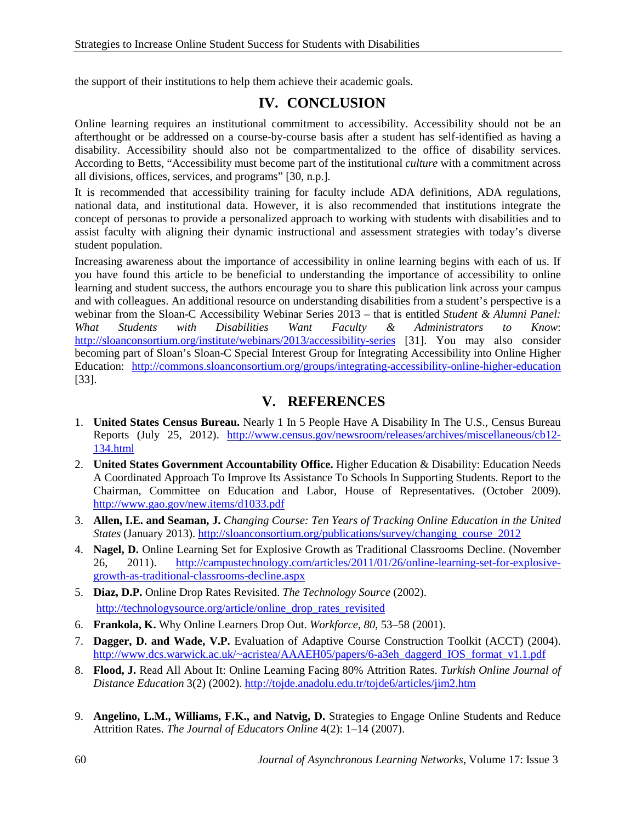the support of their institutions to help them achieve their academic goals.

#### **IV. CONCLUSION**

Online learning requires an institutional commitment to accessibility. Accessibility should not be an afterthought or be addressed on a course-by-course basis after a student has self-identified as having a disability. Accessibility should also not be compartmentalized to the office of disability services. According to Betts, "Accessibility must become part of the institutional *culture* with a commitment across all divisions, offices, services, and programs" [30, n.p.].

It is recommended that accessibility training for faculty include ADA definitions, ADA regulations, national data, and institutional data. However, it is also recommended that institutions integrate the concept of personas to provide a personalized approach to working with students with disabilities and to assist faculty with aligning their dynamic instructional and assessment strategies with today's diverse student population.

Increasing awareness about the importance of accessibility in online learning begins with each of us. If you have found this article to be beneficial to understanding the importance of accessibility to online learning and student success, the authors encourage you to share this publication link across your campus and with colleagues. An additional resource on understanding disabilities from a student's perspective is a webinar from the Sloan-C Accessibility Webinar Series 2013 – that is entitled *Student & Alumni Panel: What Students with Disabilities Want Faculty & Administrators to Know*: <http://sloanconsortium.org/institute/webinars/2013/accessibility-series> [31]. You may also consider becoming part of Sloan's Sloan-C Special Interest Group for Integrating Accessibility into Online Higher Education: <http://commons.sloanconsortium.org/groups/integrating-accessibility-online-higher-education> [33].

#### **V. REFERENCES**

- 1. **United States Census Bureau.** Nearly 1 In 5 People Have A Disability In The U.S., Census Bureau Reports (July 25, 2012). [http://www.census.gov/newsroom/releases/archives/miscellaneous/cb12-](http://www.census.gov/newsroom/releases/archives/miscellaneous/cb12-134.html) [134.html](http://www.census.gov/newsroom/releases/archives/miscellaneous/cb12-134.html)
- 2. **United States Government Accountability Office.** Higher Education & Disability: Education Needs A Coordinated Approach To Improve Its Assistance To Schools In Supporting Students. Report to the Chairman, Committee on Education and Labor, House of Representatives. (October 2009). <http://www.gao.gov/new.items/d1033.pdf>
- 3. **Allen, I.E. and Seaman, J.** *Changing Course: Ten Years of Tracking Online Education in the United States* (January 2013). [http://sloanconsortium.org/publications/survey/changing\\_course\\_2012](http://sloanconsortium.org/publications/survey/changing_course_2012)
- 4. **Nagel, D.** Online Learning Set for Explosive Growth as Traditional Classrooms Decline. (November 26, 2011). [http://campustechnology.com/articles/2011/01/26/online-learning-set-for-explosive](http://campustechnology.com/articles/2011/01/26/online-learning-set-for-explosive-growth-as-traditional-classrooms-decline.aspx)[growth-as-traditional-classrooms-decline.aspx](http://campustechnology.com/articles/2011/01/26/online-learning-set-for-explosive-growth-as-traditional-classrooms-decline.aspx)
- 5. **Diaz, D.P.** Online Drop Rates Revisited. *The Technology Source* (2002). [http://technologysource.org/article/online\\_drop\\_rates\\_revisited](http://technologysource.org/article/online_drop_rates_revisited)
- 6. **Frankola, K.** Why Online Learners Drop Out. *Workforce*, *80*, 53–58 (2001).
- 7. **Dagger, D. and Wade, V.P.** Evaluation of Adaptive Course Construction Toolkit (ACCT) (2004). [http://www.dcs.warwick.ac.uk/~acristea/AAAEH05/papers/6-a3eh\\_daggerd\\_IOS\\_format\\_v1.1.pdf](http://www.dcs.warwick.ac.uk/~acristea/AAAEH05/papers/6-a3eh_daggerd_IOS_format_v1.1.pdf)
- 8. **Flood, J.** Read All About It: Online Learning Facing 80% Attrition Rates. *Turkish Online Journal of Distance Education* 3(2) (2002). <http://tojde.anadolu.edu.tr/tojde6/articles/jim2.htm>
- 9. **Angelino, L.M., Williams, F.K., and Natvig, D.** Strategies to Engage Online Students and Reduce Attrition Rates. *The Journal of Educators Online* 4(2): 1–14 (2007).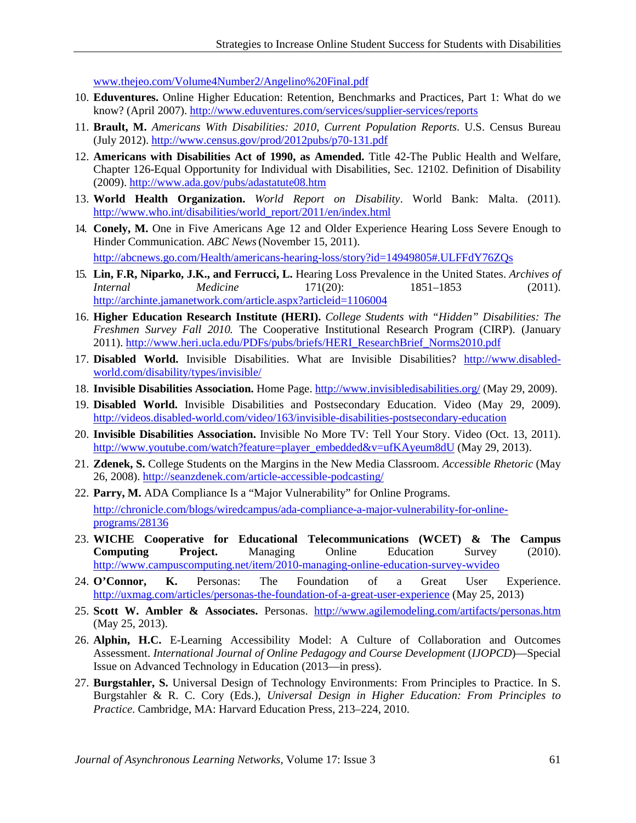[www.thejeo.com/Volume4Number2/Angelino%20Final.pdf](http://www.thejeo.com/Volume4Number2/Angelino%20Final.pdf)

- 10. **Eduventures.** Online Higher Education: Retention, Benchmarks and Practices, Part 1: What do we know? (April 2007).<http://www.eduventures.com/services/supplier-services/reports>
- 11. **Brault, M.** *Americans With Disabilities: 2010*, *Current Population Reports*. U.S. Census Bureau (July 2012).<http://www.census.gov/prod/2012pubs/p70-131.pdf>
- 12. **Americans with Disabilities Act of 1990, as Amended.** Title 42-The Public Health and Welfare, Chapter 126-Equal Opportunity for Individual with Disabilities, Sec. 12102. Definition of Disability (2009).<http://www.ada.gov/pubs/adastatute08.htm>
- 13. **World Health Organization.** *World Report on Disability*. World Bank: Malta. (2011). [http://www.who.int/disabilities/world\\_report/2011/en/index.html](http://www.who.int/disabilities/world_report/2011/en/index.html)
- 14. **Conely, M.** One in Five Americans Age 12 and Older Experience Hearing Loss Severe Enough to Hinder Communication. *ABC News*(November 15, 2011). <http://abcnews.go.com/Health/americans-hearing-loss/story?id=14949805#.ULFFdY76ZQs>
- 15. **Lin, F.R, Niparko, J.K., and Ferrucci, L.** Hearing Loss Prevalence in the United States. *Archives of Internal Medicine* 171(20): 1851–1853 (2011). <http://archinte.jamanetwork.com/article.aspx?articleid=1106004>
- 16. **Higher Education Research Institute (HERI).** *College Students with "Hidden" Disabilities: The Freshmen Survey Fall 2010.* The Cooperative Institutional Research Program (CIRP). (January 2011). [http://www.heri.ucla.edu/PDFs/pubs/briefs/HERI\\_ResearchBrief\\_Norms2010.pdf](http://www.heri.ucla.edu/PDFs/pubs/briefs/HERI_ResearchBrief_Norms2010.pdf)
- 17. **Disabled World.** Invisible Disabilities. What are Invisible Disabilities? [http://www.disabled](http://www.disabled-world.com/disability/types/invisible/)[world.com/disability/types/invisible/](http://www.disabled-world.com/disability/types/invisible/)
- 18. **Invisible Disabilities Association.** Home Page. <http://www.invisibledisabilities.org/> (May 29, 2009).
- 19. **Disabled World.** Invisible Disabilities and Postsecondary Education. Video (May 29, 2009). <http://videos.disabled-world.com/video/163/invisible-disabilities-postsecondary-education>
- 20. **Invisible Disabilities Association.** Invisible No More TV: Tell Your Story. Video (Oct. 13, 2011). [http://www.youtube.com/watch?feature=player\\_embedded&v=ufKAyeum8dU](http://www.youtube.com/watch?feature=player_embedded&v=ufKAyeum8dU) (May 29, 2013).
- 21. **Zdenek, S.** College Students on the Margins in the New Media Classroom. *Accessible Rhetoric* (May 26, 2008)[. http://seanzdenek.com/article-accessible-podcasting/](http://seanzdenek.com/article-accessible-podcasting/)
- 22. **Parry, M.** ADA Compliance Is a "Major Vulnerability" for Online Programs. [http://chronicle.com/blogs/wiredcampus/ada-compliance-a-major-vulnerability-for-online](http://chronicle.com/blogs/wiredcampus/ada-compliance-a-major-vulnerability-for-online-programs/28136)[programs/28136](http://chronicle.com/blogs/wiredcampus/ada-compliance-a-major-vulnerability-for-online-programs/28136)
- 23. **WICHE Cooperative for Educational Telecommunications (WCET) & The Campus Computing Project.** Managing Online Education Survey (2010). <http://www.campuscomputing.net/item/2010-managing-online-education-survey-wvideo>
- 24. **O'Connor, K.** Personas: The Foundation of a Great User Experience. <http://uxmag.com/articles/personas-the-foundation-of-a-great-user-experience> (May 25, 2013)
- 25. **Scott W. Ambler & Associates.** Personas. <http://www.agilemodeling.com/artifacts/personas.htm> (May 25, 2013).
- 26. **Alphin, H.C.** E-Learning Accessibility Model: A Culture of Collaboration and Outcomes Assessment. *International Journal of Online Pedagogy and Course Development* (*IJOPCD*)—Special Issue on Advanced Technology in Education (2013—in press).
- 27. **Burgstahler, S.** Universal Design of Technology Environments: From Principles to Practice. In S. Burgstahler & R. C. Cory (Eds.), *Universal Design in Higher Education: From Principles to Practice*. Cambridge, MA: Harvard Education Press, 213–224, 2010.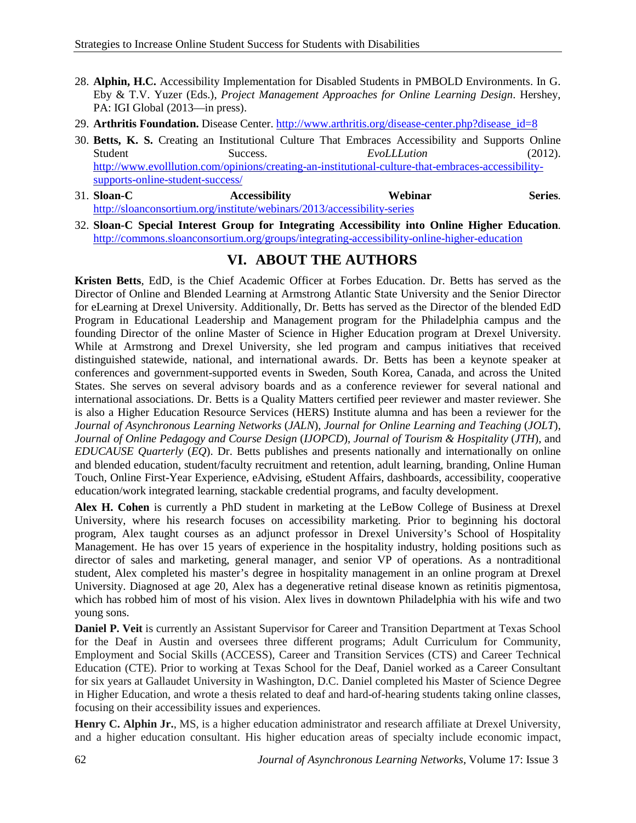- 28. **Alphin, H.C.** Accessibility Implementation for Disabled Students in PMBOLD Environments. In G. Eby & T.V. Yuzer (Eds.), *Project Management Approaches for Online Learning Design*. Hershey, PA: IGI Global (2013—in press).
- 29. **Arthritis Foundation.** Disease Center. [http://www.arthritis.org/disease-center.php?disease\\_id=8](http://www.arthritis.org/disease-center.php?disease_id=8)
- 30. **Betts, K. S.** Creating an Institutional Culture That Embraces Accessibility and Supports Online Student Success. **EvoLLLution** (2012). [http://www.evolllution.com/opinions/creating-an-institutional-culture-that-embraces-accessibility](http://www.evolllution.com/opinions/creating-an-institutional-culture-that-embraces-accessibility-supports-online-student-success/)[supports-online-student-success/](http://www.evolllution.com/opinions/creating-an-institutional-culture-that-embraces-accessibility-supports-online-student-success/)
- 31. **Sloan-C Accessibility Webinar Series**. <http://sloanconsortium.org/institute/webinars/2013/accessibility-series>
- 32. **Sloan-C Special Interest Group for Integrating Accessibility into Online Higher Education**. <http://commons.sloanconsortium.org/groups/integrating-accessibility-online-higher-education>

### **VI. ABOUT THE AUTHORS**

**Kristen Betts**, EdD, is the Chief Academic Officer at Forbes Education. Dr. Betts has served as the Director of Online and Blended Learning at Armstrong Atlantic State University and the Senior Director for eLearning at Drexel University. Additionally, Dr. Betts has served as the Director of the blended EdD Program in Educational Leadership and Management program for the Philadelphia campus and the founding Director of the online Master of Science in Higher Education program at Drexel University. While at Armstrong and Drexel University, she led program and campus initiatives that received distinguished statewide, national, and international awards. Dr. Betts has been a keynote speaker at conferences and government-supported events in Sweden, South Korea, Canada, and across the United States. She serves on several advisory boards and as a conference reviewer for several national and international associations. Dr. Betts is a Quality Matters certified peer reviewer and master reviewer. She is also a Higher Education Resource Services (HERS) Institute alumna and has been a reviewer for the *Journal of Asynchronous Learning Networks* (*JALN*), *Journal for Online Learning and Teaching* (*JOLT*), *Journal of Online Pedagogy and Course Design* (*IJOPCD*), *Journal of Tourism & Hospitality* (*JTH*), and *EDUCAUSE Quarterly* (*EQ*). Dr. Betts publishes and presents nationally and internationally on online and blended education, student/faculty recruitment and retention, adult learning, branding, Online Human Touch, Online First-Year Experience, eAdvising, eStudent Affairs, dashboards, accessibility, cooperative education/work integrated learning, stackable credential programs, and faculty development.

**Alex H. Cohen** is currently a PhD student in marketing at the LeBow College of Business at Drexel University, where his research focuses on accessibility marketing. Prior to beginning his doctoral program, Alex taught courses as an adjunct professor in Drexel University's School of Hospitality Management. He has over 15 years of experience in the hospitality industry, holding positions such as director of sales and marketing, general manager, and senior VP of operations. As a nontraditional student, Alex completed his master's degree in hospitality management in an online program at Drexel University. Diagnosed at age 20, Alex has a degenerative retinal disease known as retinitis pigmentosa, which has robbed him of most of his vision. Alex lives in downtown Philadelphia with his wife and two young sons.

**Daniel P. Veit** is currently an Assistant Supervisor for Career and Transition Department at Texas School for the Deaf in Austin and oversees three different programs; Adult Curriculum for Community, Employment and Social Skills (ACCESS), Career and Transition Services (CTS) and Career Technical Education (CTE). Prior to working at Texas School for the Deaf, Daniel worked as a Career Consultant for six years at Gallaudet University in Washington, D.C. Daniel completed his Master of Science Degree in Higher Education, and wrote a thesis related to deaf and hard-of-hearing students taking online classes, focusing on their accessibility issues and experiences.

**Henry C. Alphin Jr.**, MS, is a higher education administrator and research affiliate at Drexel University, and a higher education consultant. His higher education areas of specialty include economic impact,